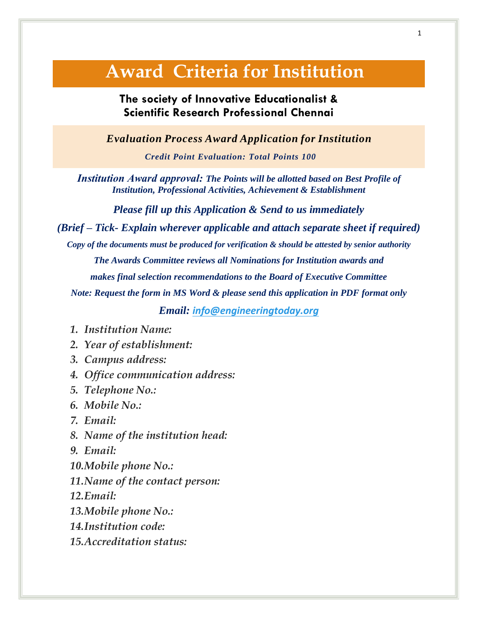## **Award Criteria for Institution**

## **The society of Innovative Educationalist & [Scientific](http://www.engineeringtodaymalaysia.org/) Research Professional Chennai**

*Evaluation Process Award Application for Institution*

*Credit Point Evaluation: Total Points 100*

*Institution Award approval: The Points will be allotted based on Best Profile of Institution, Professional Activities, Achievement & Establishment*

*Please fill up this Application & Send to us immediately*

*(Brief – Tick- Explain wherever applicable and attach separate sheet if required)*

*Copy of the documents must be produced for verification & should be attested by senior authority The Awards Committee reviews all Nominations for Institution awards and makes final selection recommendations to the Board of Executive Committee*

*Note: Request the form in MS Word & please send this application in PDF format only*

*Email: [info@engineeringtoday.org](mailto:info@engineeringtoday.org)*

- *1. Institution Name:*
- *2. Year of establishment:*
- *3. Campus address:*
- *4. Office communication address:*
- *5. Telephone No.:*
- *6. Mobile No.:*
- *7. Email:*
- *8. Name of the institution head:*
- *9. Email:*
- *10.Mobile phone No.:*
- *11.Name of the contact person:*
- *12.Email:*
- *13.Mobile phone No.:*
- *14.Institution code:*
- *15.Accreditation status:*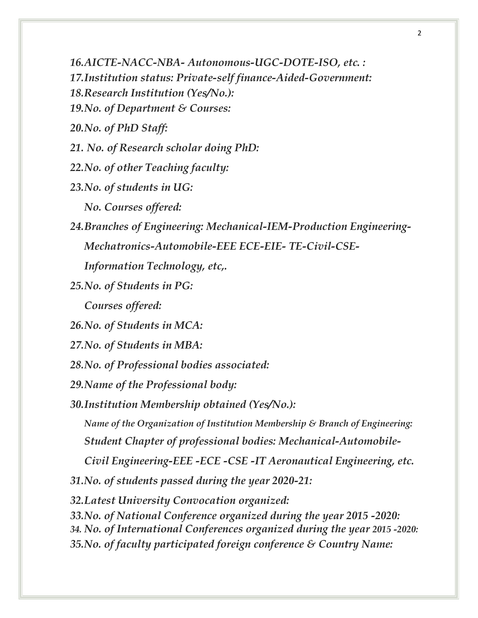*16.AICTE-NACC-NBA- Autonomous-UGC-DOTE-ISO, etc. : 17.Institution status: Private-self finance-Aided-Government: 18.Research Institution (Yes/No.): 19.No. of Department & Courses: 20.No. of PhD Staff: 21. No. of Research scholar doing PhD: 22.No. of other Teaching faculty: 23.No. of students in UG: No. Courses offered: 24.Branches of Engineering: Mechanical-IEM-Production Engineering-Mechatronics-Automobile-EEE ECE-EIE- TE-Civil-CSE-Information Technology, etc,. 25.No. of Students in PG: Courses offered: 26.No. of Students in MCA: 27.No. of Students in MBA: 28.No. of Professional bodies associated: 29.Name of the Professional body: 30.Institution Membership obtained (Yes/No.): Name of the Organization of Institution Membership & Branch of Engineering: Student Chapter of professional bodies: Mechanical-Automobile-Civil Engineering-EEE -ECE -CSE -IT Aeronautical Engineering, etc. 31.No. of students passed during the year 2020-21: 32.Latest University Convocation organized: 33.No. of National Conference organized during the year 2015 -2020: 34. No. of International Conferences organized during the year 2015 -2020: 35.No. of faculty participated foreign conference & Country Name:*